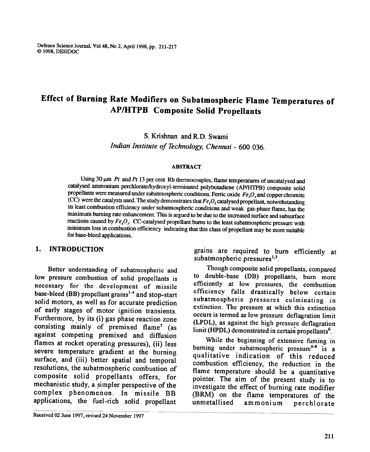Defence Science Journal, Vo148, No 2, April 1998, pp. 211-217 @ 1998, DESIDOC

# Effect of Burning Rate Modifiers on Subatmospheric Flame Temperatures of AP/HTPB Composite Solid Propellants

S. Krishnan and R.D. Swami Indian Institute of Technology, Chennai -600 036.

#### ABSTRACT

Using 30  $\mu$ m Pt and Pt 13 per cent Rh thermocouples, flame temperatures of uncatalysed and catalysed ammonium perchlorate/hydroxyl-terminated polybutadiene (AP/lffPB) composite solid propellants were measured under subatmospheric conditions. Ferric oxide  $Fe$ ,  $O$ , and copper chromite (CC) were the catalysts used. The study demonstrates that  $Fe<sub>2</sub>O<sub>3</sub>$  catalysed propellant, notwithstanding its least combustion efficiency under subatmospheric conditions and weak gas-phase flame, has the maximum burning rate enhancement. This is argued to be due to the increased surface and subsurface reactions caused by  $Fe, O<sub>3</sub>$ . CC-catalysed propellant burns to the least subatmospheric pressure with minimum loss in combustion efficiency indicating that this class of propellant may be more suitable for base-bleed applications.

Better understanding of subatmospheric and low pressure combustion of solid propellants is necessary for the. development of missile base-bleed (BB) propellant grains<sup>1-4</sup> and stop-start solid motors, as well as for accurate prediction of early stages of motor ignition transients. Furthermore, by its (i) gas phase reaction zone consisting mainly of premixed flame<sup>5</sup> (as against competing premixed and diffusion flames at rocket operating pressures), (ii) less severe temperature gradient at the burning surface, and (iii) better spatial and temporal resolutions, the subatmospheric combustion of composite solid propellants offers, for mechanistic study, a simpler perspective of the complex phenomenon. In missile BB applications, the fuel-rich solid propellant

- Received 02 June 1997, revised 24 November 1997

I. INTRODUCTION grains are required to burn efficiently at  $subatmospheric pressures<sup>1,3</sup>$ .

> Though composite solid propellants, compared to double-base (DB) propellants, burn more efficiently at low pressures, the combustion efficiency falls drastically below certain subatmospheric pressures culminating in extinction. The pressure at which this extinction occurs is termed as low pressure deflagration limit (LPDL), as against the high pressure deflagration limit (HPDL) demonstrated in certain propellants<sup>6</sup>.

> While the beginning of extensive fuming in burning under subatmospheric pressure<sup>6-8</sup> is a qualitative indication of this reduced combustion efficiency, the reduction in the flame temperature should be a quantitative pointer. The aim of the present study is to investigate the effect. of burning rate modifier (BRM) on the flame temperatures of the unmetal1ised ammonium perchlorate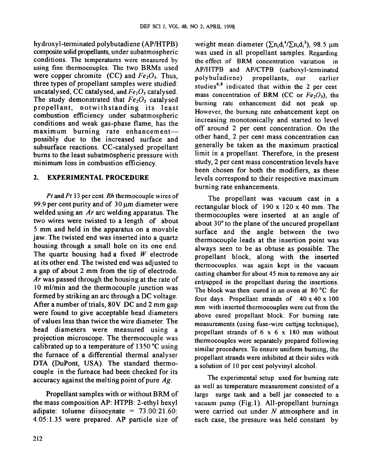hydroxyl-terrninated polybutadiene (AP/HTPB) composite solid propellants, under subatmospheric conditions. The temperatures were measured by using fine thermocouples. The two BRMs used were copper chromite (CC) and  $Fe<sub>2</sub>O<sub>3</sub>$ . Thus, three types of propellant samples were studied: uncatalysed, CC catalysed, and  $Fe<sub>2</sub>O<sub>3</sub>$  catalysed. The study demonstrated that  $Fe<sub>2</sub>O<sub>3</sub>$  catalysed propellant, notwithstanding its least combustion efficiency under subatmospheric conditions and weak gas-phase flame, has the maximum burning rate enhancementpossibly due to the increased surface and subsurface reactions. CC-catalysed propellant burns to the least subatm6spheric pressure with minimum loss in combustion efficiency.

# 2. EXPERIMENTAL PROCEDURE

Pt and Pt 13 per cent Rh thermocouple wires of 99.9 per cent purity and of  $30 \text{ µm}$  diameter were welded using an Ar arc welding apparatus. The two wires were twisted to a length of about 5 mm and held in the apparatus on a movable jaw. The twisted end was inserted into a quartz housing through a small hole on its one end. The quartz housing had a fixed  $W$  electrode at its other end. The twisted end was adjusted to a gap of about 2 mm from the tip of electrode. Ar was passed through the housing at the rate of 10 ml/min and the thermocouple junction was formed by striking an arc through a DC voltage. After a number of trials, 80V DC and 2 mm gap were found to give acceptable bead diameters of values less than twice the wire diameter. The bead diameters were measured using a projection microscope. The thermocouple was calibrated up to a temperature of 1350 °C using the furnace of a differential thermal analyser DTA (DuPont, USA). The standard thermocouple in the furnace had been checked for its accuracy against the melting point of pure  $Ag$ .

Propellant samples with or without BRM of the mass composition AP: HTPB: 2-ethyl hexyl adipate: toluene diisocynate =  $73.00:21.60$ : 4.05:1.35 were prepared. AP particle size of weight mean diameter  $(\sum_{i}^{d} A_{i}^{4}/\sum_{i}^{d} A_{i}^{3})$ , 98.5  $\mu$ m was used in all propellant samples. Regarding the effect of BRM concentration variation in AP/HTPB and AP/CTPB (carboxyl-tenninated polybuiadiene) propellants, our earlier studies<sup>6,8</sup> indicated that within the 2 per cent mass concentration of BRM (CC or  $Fe<sub>2</sub>O<sub>3</sub>$ ), the burning rate enhancement did not peak up. However, the burning rate enhancement kept on increasing monotonically and started to level off around 2 per cent concentration. On the other hand, 2 per cent mass concentration can generally be taken as the maximum practical limit in a propellant. Therefore, in the present study, 2 per cent mass concentration levels have been chosen for both the modifiers, as these levels correspond to their respective maximum burning rate enhancements.

The propellant was vacuum cast in a rectangular block of 190 x 120 x 40 mm. The thermocouples were inserted at an angle of about 30° to the plane of the uncured propellant surface and the. angle between the two thermocouple leads at the insertion point was always seen to be as obtuse as possible. The propellant block, along with the inserted thennocouples, was again kept in the vacuum casting chamber for about 45 min to remove any air entrapped in the propellant during the insertions. The block was then cured in an oven at  $80^{\circ}$ C for four days. Propellant strands of  $40 \times 40 \times 100$ mm with inserted thermocouples were cut from the above cured propellant block. For burning rate measurements (using fuse-wire cutting technique), propellant strands of 6 x 6 x 180 mm without thennocouples were separately prepared following similar procedures. To ensure uniform burning, the propellant strands were inhibited at their sides with a solution of 10 per cent polyvinyl alcohol.

The experimental setup used for burning rate as well as temperature measurement consisted of a large surge tank and a bell jar connected to a vacuum pump (Fig.l ). All-propellant burnings were carried out under  $N$  atmosphere and in each case, the pressure was held constant by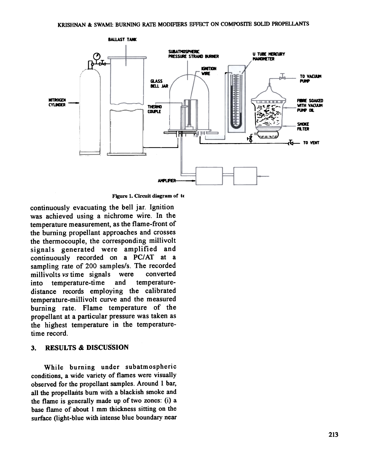

Figure 1. Circuit diagram of te

continuously evacuating the bell jar. Ignition was achieved using a nichrome wire. In the temperature measurement, as the flame-front of the burning propellant approaches and crosses the thermocouple, the corresponding millivolt signals generated were amplified and continuously recorded on a PC/AT at a sampling rate of 200 samples/s. The recorded millivolts vs time signals were converted into temperature-time and temperaturedistance records employing the calibrated temperature-millivolt curve and the measured burning rate. Flame temperature of the propellant at a particular pressure was taken as the highest temperature in the temperaturetime record.

#### 3. RESULTS & DISCUSSION

While burning under subatmospheric conditions, a wide variety of flames were visually observed for the propellant samples. Around I bar, all the propellants bum with a blackish smoke and the flame is generally made up of two zones: (i) a base flame of about I mm thickness sitting on the surface (light-blue with intense blue boundary near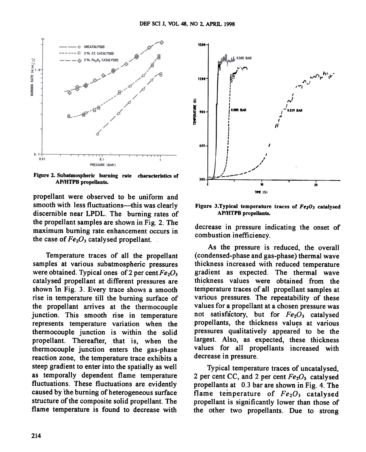

Figure 2. Subatmospheric burning rate characteristics or AP/HTPB propellants.

propellant were observed to be uniform and smooth with less fluctuations-this was clearly discernible near LPDL. The burning rates of the propellant samples are shown in Fig. 2. The maximum burning rate. enhancement occurs in the case of  $Fe<sub>2</sub>O<sub>3</sub>$  catalysed propellant.

Temperature traces of all the propellant samples at various subatmospheric pressures were obtained. Typical ones of 2 per cent  $Fe<sub>2</sub>O<sub>3</sub>$ catalysed propellant at different pressures are shown in Fig. 3. Every trace shows a smooth rise in temperature till the burning surface of the propellant arrives at the thermocouple junction. This smooth rise in temperature represents temperature variation when the thermocouple junction is within the solid propellant. Thereafter, that is, when the thermocouple junction enters the gas-phase reaction zone, the temperature trace exhibits a steep gradient to enter into the spatially as well as temporally dependent flame temperature fluctuations. These fluctuations are evidently caused by the burning of heterogeneous surface structure of the composite solid propellant. The flame temperature is found to decrease with



Figure 3. Typical temperature traces of  $Fe<sub>2</sub>O<sub>3</sub>$  catalysed AP/HTPB propellants.

decrease in pressure indicating the onset of combustion inefficiency.

As the pressure is reduced, the overall ( condensed-phase and gas-phase) thermal wave thickness increased with reduced temperature gradient as expected. The thermal wave thickness values were obtained from the temperature traces of all propellant samples at various pressures. The repeatability of these values for a propellant at a chosen pressure was not satisfactory, but for  $Fe<sub>2</sub>O<sub>3</sub>$  catalysed propellants, the thickness values at various pressures qualitatively appeared to be the largest. Also, as expected, these thickness values for all propellants increased with decrease in pressure.

Typical temperature traces of uncatalysed, 2 per cent CC, and 2 per cent  $Fe<sub>2</sub>O<sub>3</sub>$  catalysed propellants at 0.3 bar are shown in Fig. 4. The flame temperature of  $Fe<sub>2</sub>O<sub>3</sub>$  catalysed propellant is significantly lower than those of the other two propellants. Due to strong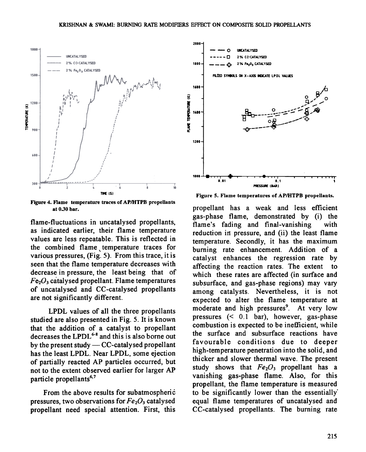

Figure 4. Flame temperature traces of AP/HTPB propellants

flame-fluctuations in uncatalysed propellants, as indicated earlier, their flame temperature values are less repeatable. This is reflected in the combined flame temperature traces for various pressures, (Fig. 5). From this trace, it is seen that the flame temperature decreases with decrease in pressure, the least being that of  $Fe<sub>2</sub>O<sub>3</sub>$  catalysed propellant. Flame temperatures of uncatalysed and CC-catalysed propellants are not significantly different.

LPDL values of all the three propellants studied are also presented in Fig. 5. It is known that the addition of a catalyst to propellant decreases the LPDL<sup>6-8</sup> and this is also borne out by the present study  $-CC$ -catalysed propellant has the least LPDL. Near LPDL, some ejection of partially reacted AP particles occurred, but not to the extent observed earlier for larger AP particle propellants<sup>6,7</sup>

From the above results for subatmospheric pressures, two observations for  $Fe<sub>2</sub>O<sub>3</sub>$  catalysed propellant need special attention. First, this



THE (S) THE ISI

at 0.30 bar. propellant has a weak and less efficient gas-phase flame, demonstrated by (i) the flame's fading and final-vanishing with reduction in pressure, and (ii) the least flame temperature. Secondly, it has the maximum burning rate enhancement. Addition of a catalyst enhances the regression rate by affecting the reaction rates. The extent to which these rates are affected (in surface and subsurface, and gas-phase regions) may vary among catalysts. Nevertheless, it is not expected to alter the flame temperature at moderate and high pressures<sup>9</sup>. At very low pressures  $(0.1 \text{ bar})$ , however, gas-phase combustion is expected to be inefficient, while the surface and subsurface reactions have favourable conditions due to deeper high-temperature penetration into the solid, and thicker and slower thermal wave. The present study shows that  $Fe<sub>2</sub>O<sub>3</sub>$  propellant has a vanishing gas-phase flame. Also, for this propellant, the flame temperature is measured to be significantly lower than the essentially. equal flame temperatures of uncatalysed and CC-catalysed propellants. The burning rate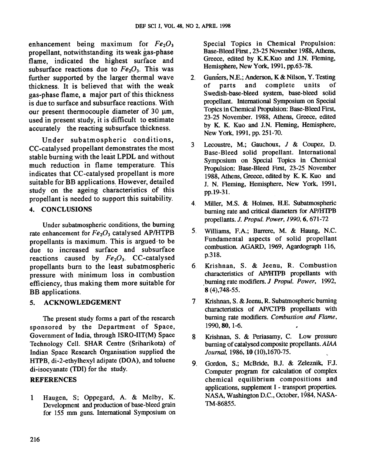enhancement being maximum for  $Fe<sub>2</sub>O<sub>3</sub>$ propellant, notwithstanding its weak gas-phase flame, indicated the highest surface and subsurface reactions due to  $Fe<sub>2</sub>O<sub>3</sub>$ . This was further supported by the larger thermal wave thickness. It is believed that with the weak gas-phase flame, a major part of this thickness is due to surface and subsurface reactions. With our present thermocouple diameter of  $30 \mu m$ , used in present study, it is difficult to estimate accurately the reacting subsurface thickness.

Under subatmospheric conditions, CC-catalysed propellant demonstrates the most stable burning with the least LPDL and without much reduction in flame temperature. This indicates that CC-catalysed propellant is more suitable for BB applications. However, detailed study on the ageing characteristics of this propellant is needed to support this suitability.

# 4. CONCLUSIONS

Under subatmospheric conditions, the burning rate enhancement for  $Fe<sub>2</sub>O<sub>3</sub>$  catalysed AP/HTPB propellants is maximum. This is argued.to be due to increased surface and subsurface reactions caused by  $Fe<sub>2</sub>O<sub>3</sub>$ . CC-catalysed propellants burn to the least subatmospheric pressure with minimum loss in combustion efficiency, thus making them more suitable for BB applications.

# 5. ACKNOWLEDGEMENT

The present study forms a part of the research sponsored by the Department of Space, Government of India, through ISRO-IIT(M) Space Technology Cell. SHAR Centre (Sriharikota) of Indian Space Research Organisation supplied the HTPB, di-2-ethylhexyl adipate (DOA), and toluene di-isocyanate (TDI) for the study.

# REFERENCES

Haugen, S; Oppegard, A. & Melby, K. Development and production of base-bleed grain for 155 mm guns. International Symposium on 1

Special Topics in Chemical Propulsion: Base-Bleed First, 23-25 November 1988, Athens, Greece, edited by K.K.Kuo and J.N. Fleming, Hemisphere, New York, 1991, pp.63-78.

- 2. Gunners, N.E.; Anderson, K & Nilson, Y. Testing of parts and complete units of Swedish-base-bleed system, base-bleed solid propellant. International Symposium on Special Topics in Chemical Propulsion: Base-Bleed First, 23-25 November. 1988, Athens, Greece, edited by K. K. Kuo and J.N. Fleming, Hemisphere, New York, 1991, pp. 251-70.
- 3 Lecoustre, M.; Gauchoux, J & Coupez, D. Base-Bleed solid propellant. International Symposium on Special Topics in Chemical Propulsion: Base-Bleed First, 23-25 November 1988, Athens, Greece, edited by K. K. Kuo and J. N. Fleming, Hemisphere, New York, 1991, pp.19-31.
- 4 Miller, M.S. & Holmes, H.E. Subatmospheric burning rate and critical diameters for AP/HTPB propellants. J. Propul. Power, 1990,6,671-72
- 5. Williams, F.A.; Barrere, M. & Haung, N.C. Fundamental aspects of solid propellant combustion. AGARD, 1969, Agardograph 116, p.318.
- 6 Krishnan, S. & Jeenu, R. Combustion characteristics of AP/HTPB propellants with ,burning rate modifiers. J Propul. Power, 1992, 8 (4),748-55.
- Krishnan, S. & Jeenu, R. Subatmospheric burning characteristics of AP/CfPB propellants with burning rate modifiers. Combustion and Flame, 1990,80, 1-6. 7
- 8 Krishnan, S. & Periasamy, C. Low pressure burning of catalysed composite propellants. AlAA Journal, 1986, 10 (10),1670-75.
- 9. Gordon, S.; McBride, B.J. & Zeleznik, F.J. Computer program for calculation of complex chemical equilibrium compositions and applications, supplement I - transport properties. NASA, Washington D.C., October, 1984, NASA-TM-86855.